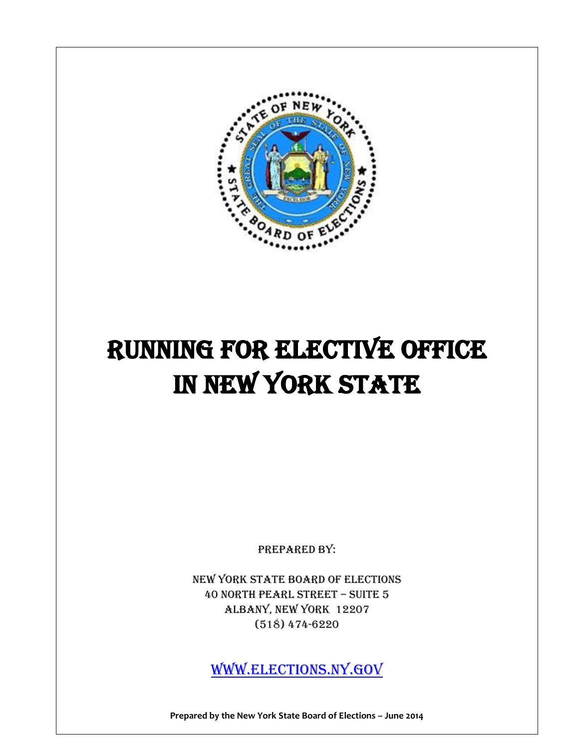

# RUNNING FOR ELECTIVE OFFICE IN NEW YORK STATE

Prepared by:

New York State Board of Elections 40 North pearl street – suite 5 Albany, New York 12207 (518) 474-6220

[www.elections.NY.GOV](http://www.elections.ny.gov/)

**Prepared by the New York State Board of Elections – June 2014**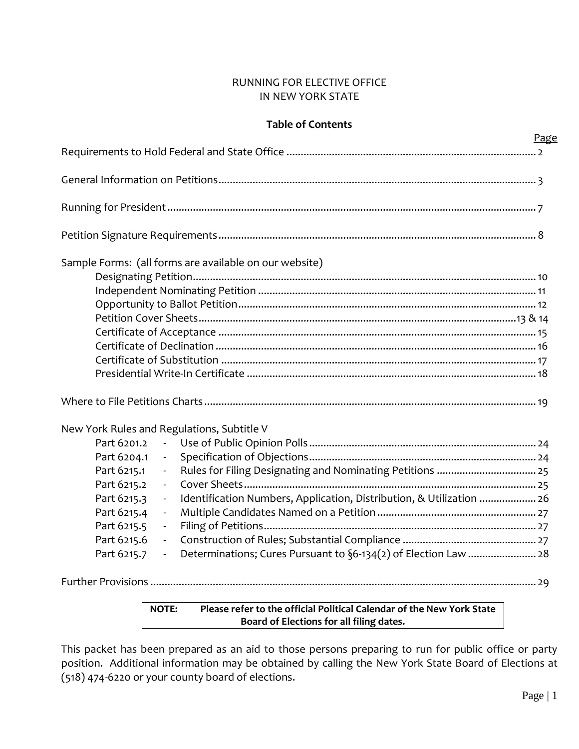# RUNNING FOR ELECTIVE OFFICE IN NEW YORK STATE

# **Table of Contents**

|                                                                                                                 | Page |
|-----------------------------------------------------------------------------------------------------------------|------|
|                                                                                                                 |      |
|                                                                                                                 |      |
|                                                                                                                 |      |
|                                                                                                                 |      |
| Sample Forms: (all forms are available on our website)                                                          |      |
|                                                                                                                 |      |
|                                                                                                                 |      |
|                                                                                                                 |      |
|                                                                                                                 |      |
|                                                                                                                 |      |
|                                                                                                                 |      |
|                                                                                                                 |      |
|                                                                                                                 |      |
|                                                                                                                 |      |
| New York Rules and Regulations, Subtitle V                                                                      |      |
| Part 6201.2<br>$\omega_{\rm{max}}$                                                                              |      |
| Part 6204.1                                                                                                     |      |
| Part 6215.1<br>$\overline{\phantom{a}}$                                                                         |      |
| Part 6215.2<br>$\blacksquare$                                                                                   |      |
| Identification Numbers, Application, Distribution, & Utilization  26<br>Part 6215.3<br>$\overline{\phantom{a}}$ |      |
| Part 6215.4<br>$\overline{\phantom{a}}$                                                                         |      |
| Part 6215.5<br>$\blacksquare$                                                                                   |      |
| Part 6215.6<br>$\mathcal{L}_{\mathcal{A}}$                                                                      |      |
| Determinations; Cures Pursuant to §6-134(2) of Election Law  28<br>Part 6215.7<br>$\mathcal{L}_{\mathcal{A}}$   |      |
|                                                                                                                 |      |

# **NOTE: Please refer to the official Political Calendar of the New York State Board of Elections for all filing dates.**

This packet has been prepared as an aid to those persons preparing to run for public office or party position. Additional information may be obtained by calling the New York State Board of Elections at (518) 474-6220 or your county board of elections.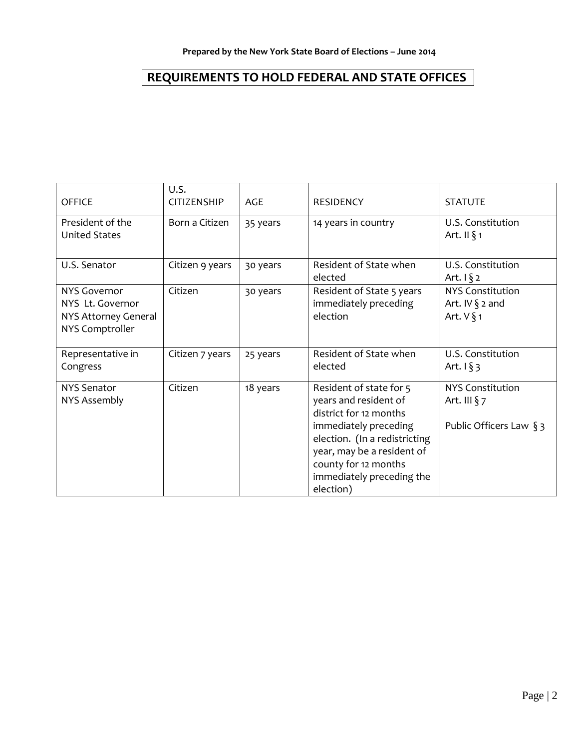# **REQUIREMENTS TO HOLD FEDERAL AND STATE OFFICES**

| <b>OFFICE</b>                                                               | U.S.<br><b>CITIZENSHIP</b> | AGE      | <b>RESIDENCY</b>                                                                                                                                                                                                                     | <b>STATUTE</b>                                                        |
|-----------------------------------------------------------------------------|----------------------------|----------|--------------------------------------------------------------------------------------------------------------------------------------------------------------------------------------------------------------------------------------|-----------------------------------------------------------------------|
| President of the<br><b>United States</b>                                    | Born a Citizen             | 35 years | 14 years in country                                                                                                                                                                                                                  | U.S. Constitution<br>Art. II $\S$ 1                                   |
| U.S. Senator                                                                | Citizen 9 years            | 30 years | Resident of State when<br>elected                                                                                                                                                                                                    | U.S. Constitution<br>Art. $\sqrt{2}$                                  |
| NYS Governor<br>NYS Lt. Governor<br>NYS Attorney General<br>NYS Comptroller | Citizen                    | 30 years | Resident of State 5 years<br>immediately preceding<br>election                                                                                                                                                                       | <b>NYS Constitution</b><br>Art. IV $\S$ 2 and<br>Art. $V$ § 1         |
| Representative in<br>Congress                                               | Citizen 7 years            | 25 years | Resident of State when<br>elected                                                                                                                                                                                                    | U.S. Constitution<br>Art. $1 \S 3$                                    |
| <b>NYS Senator</b><br>NYS Assembly                                          | Citizen                    | 18 years | Resident of state for 5<br>years and resident of<br>district for 12 months<br>immediately preceding<br>election. (In a redistricting<br>year, may be a resident of<br>county for 12 months<br>immediately preceding the<br>election) | <b>NYS Constitution</b><br>Art. III $\S$ 7<br>Public Officers Law § 3 |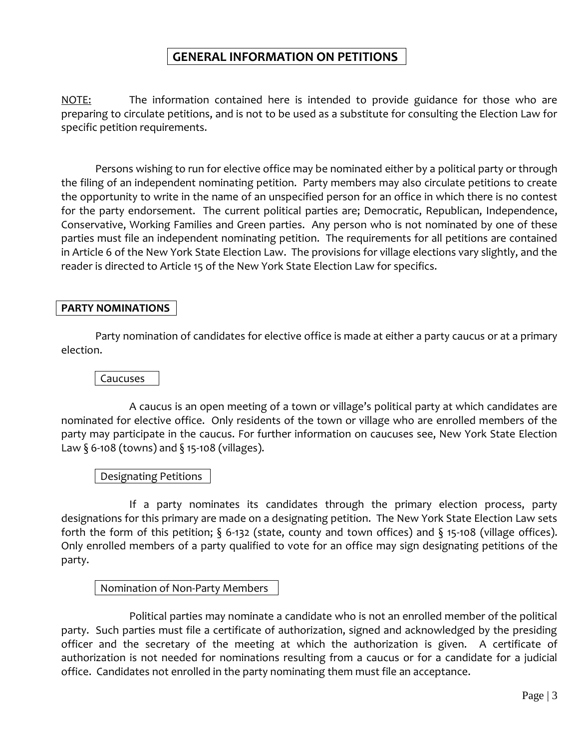NOTE: The information contained here is intended to provide guidance for those who are preparing to circulate petitions, and is not to be used as a substitute for consulting the Election Law for specific petition requirements.

Persons wishing to run for elective office may be nominated either by a political party or through the filing of an independent nominating petition. Party members may also circulate petitions to create the opportunity to write in the name of an unspecified person for an office in which there is no contest for the party endorsement. The current political parties are; Democratic, Republican, Independence, Conservative, Working Families and Green parties. Any person who is not nominated by one of these parties must file an independent nominating petition. The requirements for all petitions are contained in Article 6 of the New York State Election Law. The provisions for village elections vary slightly, and the reader is directed to Article 15 of the New York State Election Law for specifics.

# **PARTY NOMINATIONS**

Party nomination of candidates for elective office is made at either a party caucus or at a primary election.

# Caucuses

A caucus is an open meeting of a town or village's political party at which candidates are nominated for elective office. Only residents of the town or village who are enrolled members of the party may participate in the caucus. For further information on caucuses see, New York State Election Law  $\S$  6-108 (towns) and  $\S$  15-108 (villages).

# Designating Petitions

If a party nominates its candidates through the primary election process, party designations for this primary are made on a designating petition. The New York State Election Law sets forth the form of this petition; § 6-132 (state, county and town offices) and § 15-108 (village offices). Only enrolled members of a party qualified to vote for an office may sign designating petitions of the party.

# Nomination of Non-Party Members

Political parties may nominate a candidate who is not an enrolled member of the political party. Such parties must file a certificate of authorization, signed and acknowledged by the presiding officer and the secretary of the meeting at which the authorization is given. A certificate of authorization is not needed for nominations resulting from a caucus or for a candidate for a judicial office. Candidates not enrolled in the party nominating them must file an acceptance.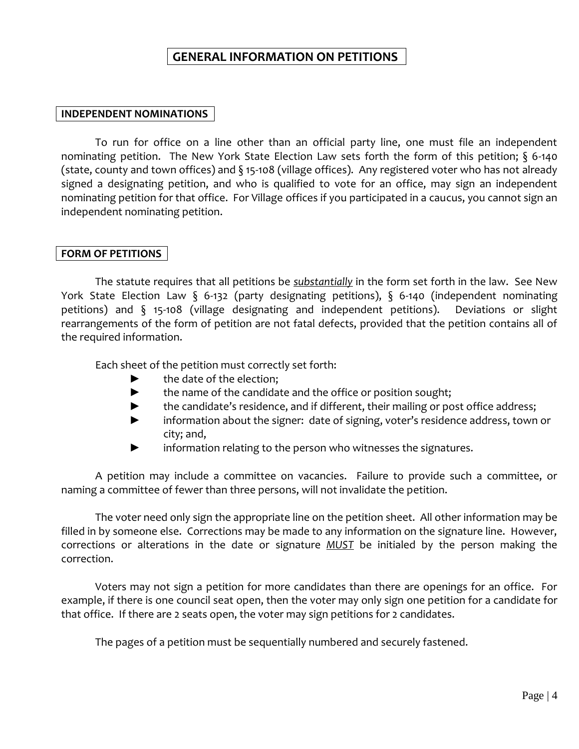# **INDEPENDENT NOMINATIONS**

To run for office on a line other than an official party line, one must file an independent nominating petition. The New York State Election Law sets forth the form of this petition; § 6-140 (state, county and town offices) and § 15-108 (village offices). Any registered voter who has not already signed a designating petition, and who is qualified to vote for an office, may sign an independent nominating petition for that office. For Village offices if you participated in a caucus, you cannot sign an independent nominating petition.

# **FORM OF PETITIONS**

The statute requires that all petitions be *substantially* in the form set forth in the law. See New York State Election Law § 6-132 (party designating petitions), § 6-140 (independent nominating petitions) and § 15-108 (village designating and independent petitions). Deviations or slight rearrangements of the form of petition are not fatal defects, provided that the petition contains all of the required information.

Each sheet of the petition must correctly set forth:

- ► the date of the election;
- ► the name of the candidate and the office or position sought;
- ► the candidate's residence, and if different, their mailing or post office address;
- ► information about the signer: date of signing, voter's residence address, town or city; and,
- ► information relating to the person who witnesses the signatures.

A petition may include a committee on vacancies. Failure to provide such a committee, or naming a committee of fewer than three persons, will not invalidate the petition.

The voter need only sign the appropriate line on the petition sheet. All other information may be filled in by someone else. Corrections may be made to any information on the signature line. However, corrections or alterations in the date or signature *MUST* be initialed by the person making the correction.

Voters may not sign a petition for more candidates than there are openings for an office. For example, if there is one council seat open, then the voter may only sign one petition for a candidate for that office. If there are 2 seats open, the voter may sign petitions for 2 candidates.

The pages of a petition must be sequentially numbered and securely fastened.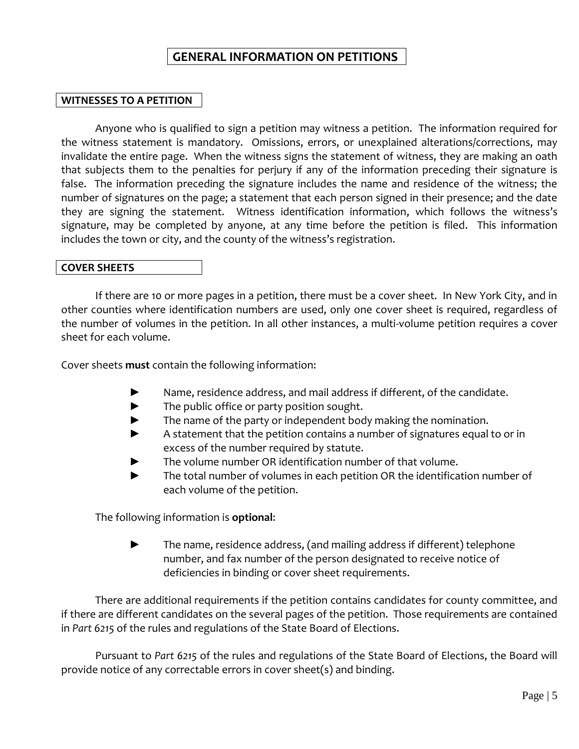# **WITNESSES TO A PETITION**

Anyone who is qualified to sign a petition may witness a petition. The information required for the witness statement is mandatory. Omissions, errors, or unexplained alterations/corrections, may invalidate the entire page. When the witness signs the statement of witness, they are making an oath that subjects them to the penalties for perjury if any of the information preceding their signature is false. The information preceding the signature includes the name and residence of the witness; the number of signatures on the page; a statement that each person signed in their presence; and the date they are signing the statement. Witness identification information, which follows the witness's signature, may be completed by anyone, at any time before the petition is filed. This information includes the town or city, and the county of the witness's registration.

# **COVER SHEETS**

If there are 10 or more pages in a petition, there must be a cover sheet. In New York City, and in other counties where identification numbers are used, only one cover sheet is required, regardless of the number of volumes in the petition. In all other instances, a multi-volume petition requires a cover sheet for each volume.

Cover sheets **must** contain the following information:

- Name, residence address, and mail address if different, of the candidate.
- ► The public office or party position sought.
- The name of the party or independent body making the nomination.
- ► A statement that the petition contains a number of signatures equal to or in excess of the number required by statute.
- The volume number OR identification number of that volume.
- ► The total number of volumes in each petition OR the identification number of each volume of the petition.

The following information is **optional**:

► The name, residence address, (and mailing address if different) telephone number, and fax number of the person designated to receive notice of deficiencies in binding or cover sheet requirements.

There are additional requirements if the petition contains candidates for county committee, and if there are different candidates on the several pages of the petition. Those requirements are contained in *Part 6215* of the rules and regulations of the State Board of Elections.

Pursuant to *Part 6215* of the rules and regulations of the State Board of Elections, the Board will provide notice of any correctable errors in cover sheet(s) and binding.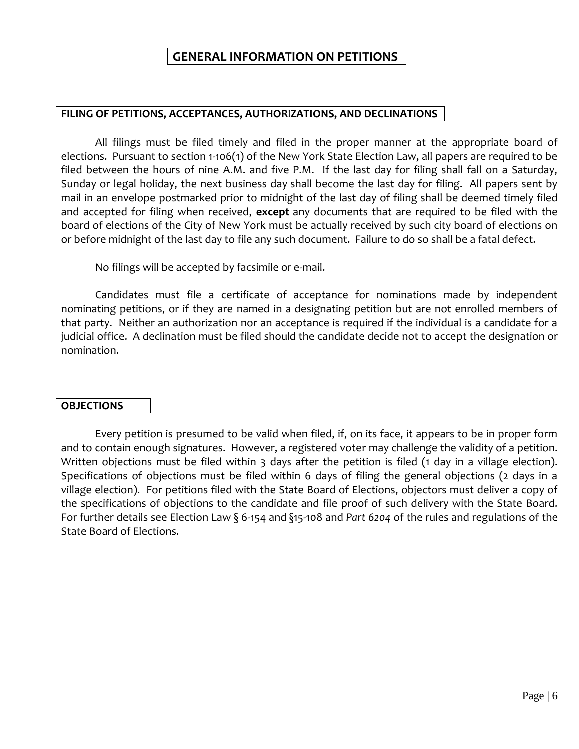# **FILING OF PETITIONS, ACCEPTANCES, AUTHORIZATIONS, AND DECLINATIONS**

All filings must be filed timely and filed in the proper manner at the appropriate board of elections. Pursuant to section 1-106(1) of the New York State Election Law, all papers are required to be filed between the hours of nine A.M. and five P.M. If the last day for filing shall fall on a Saturday, Sunday or legal holiday, the next business day shall become the last day for filing. All papers sent by mail in an envelope postmarked prior to midnight of the last day of filing shall be deemed timely filed and accepted for filing when received, **except** any documents that are required to be filed with the board of elections of the City of New York must be actually received by such city board of elections on or before midnight of the last day to file any such document. Failure to do so shall be a fatal defect.

No filings will be accepted by facsimile or e-mail.

Candidates must file a certificate of acceptance for nominations made by independent nominating petitions, or if they are named in a designating petition but are not enrolled members of that party. Neither an authorization nor an acceptance is required if the individual is a candidate for a judicial office. A declination must be filed should the candidate decide not to accept the designation or nomination.

# **OBJECTIONS**

Every petition is presumed to be valid when filed, if, on its face, it appears to be in proper form and to contain enough signatures. However, a registered voter may challenge the validity of a petition. Written objections must be filed within 3 days after the petition is filed (1 day in a village election). Specifications of objections must be filed within 6 days of filing the general objections (2 days in a village election). For petitions filed with the State Board of Elections, objectors must deliver a copy of the specifications of objections to the candidate and file proof of such delivery with the State Board. For further details see Election Law § 6-154 and §15-108 and *Part 6204* of the rules and regulations of the State Board of Elections.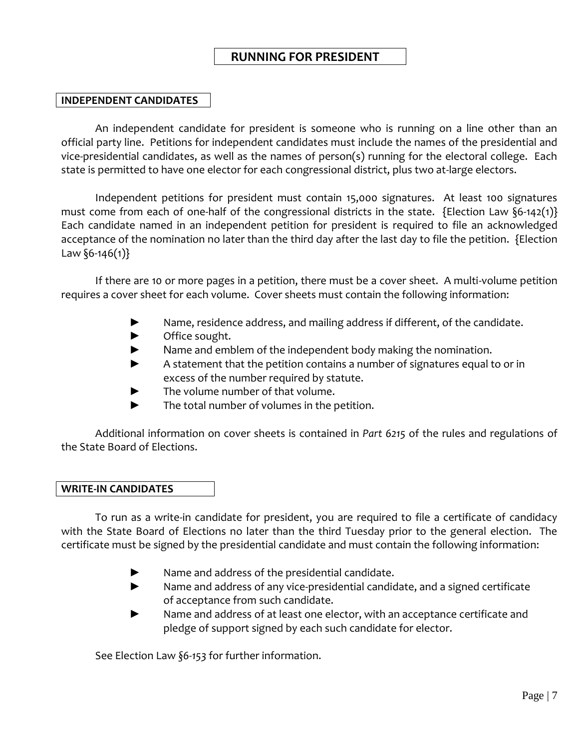# **RUNNING FOR PRESIDENT**

# **INDEPENDENT CANDIDATES**

An independent candidate for president is someone who is running on a line other than an official party line. Petitions for independent candidates must include the names of the presidential and vice-presidential candidates, as well as the names of person(s) running for the electoral college. Each state is permitted to have one elector for each congressional district, plus two at-large electors.

Independent petitions for president must contain 15,000 signatures. At least 100 signatures must come from each of one-half of the congressional districts in the state. {Election Law  $\S6-142(1)$ } Each candidate named in an independent petition for president is required to file an acknowledged acceptance of the nomination no later than the third day after the last day to file the petition. {Election Law  $\S6 - 146(1)$ 

If there are 10 or more pages in a petition, there must be a cover sheet. A multi-volume petition requires a cover sheet for each volume. Cover sheets must contain the following information:

- ► Name, residence address, and mailing address if different, of the candidate.
- ► Office sought.
- ► Name and emblem of the independent body making the nomination.
- ► A statement that the petition contains a number of signatures equal to or in excess of the number required by statute.
- ► The volume number of that volume.
- ► The total number of volumes in the petition.

Additional information on cover sheets is contained in *Part 6215* of the rules and regulations of the State Board of Elections.

# **WRITE-IN CANDIDATES**

To run as a write-in candidate for president, you are required to file a certificate of candidacy with the State Board of Elections no later than the third Tuesday prior to the general election. The certificate must be signed by the presidential candidate and must contain the following information:

- Name and address of the presidential candidate.
- ► Name and address of any vice-presidential candidate, and a signed certificate of acceptance from such candidate.
- ► Name and address of at least one elector, with an acceptance certificate and pledge of support signed by each such candidate for elector.

See Election Law *§6-153* for further information.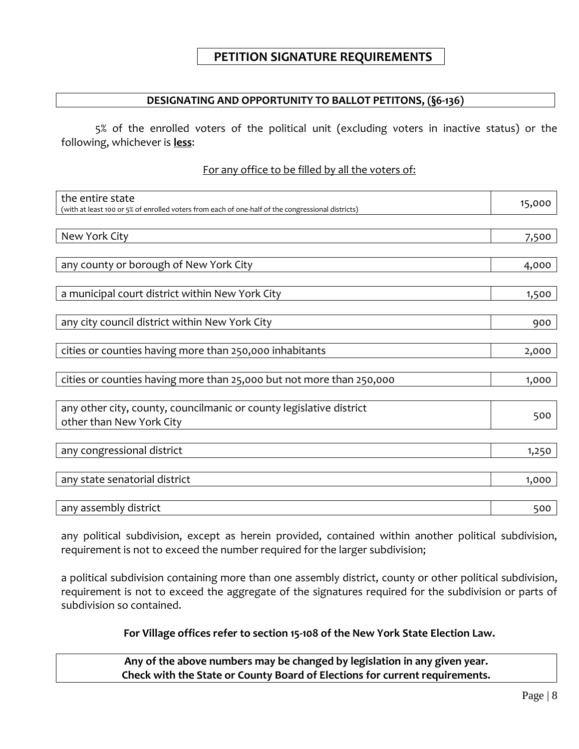# **DESIGNATING AND OPPORTUNITY TO BALLOT PETITONS, (§6-136)**

5% of the enrolled voters of the political unit (excluding voters in inactive status) or the following, whichever is **less**:

# For any office to be filled by all the voters of:

| the entire state<br>(with at least 100 or 5% of enrolled voters from each of one-half of the congressional districts) | 15,000 |
|-----------------------------------------------------------------------------------------------------------------------|--------|
| New York City                                                                                                         | 7,500  |
| any county or borough of New York City                                                                                | 4,000  |
| a municipal court district within New York City                                                                       | 1,500  |
| any city council district within New York City                                                                        | 900    |
| cities or counties having more than 250,000 inhabitants                                                               | 2,000  |
| cities or counties having more than 25,000 but not more than 250,000                                                  | 1,000  |
| any other city, county, councilmanic or county legislative district                                                   |        |
| other than New York City                                                                                              | 500    |
| any congressional district                                                                                            | 1,250  |
| any state senatorial district                                                                                         | 1,000  |
| any assembly district                                                                                                 | 500    |

any political subdivision, except as herein provided, contained within another political subdivision, requirement is not to exceed the number required for the larger subdivision;

a political subdivision containing more than one assembly district, county or other political subdivision, requirement is not to exceed the aggregate of the signatures required for the subdivision or parts of subdivision so contained.

# **For Village offices refer to section 15-108 of the New York State Election Law.**

**Any of the above numbers may be changed by legislation in any given year. Check with the State or County Board of Elections for current requirements.**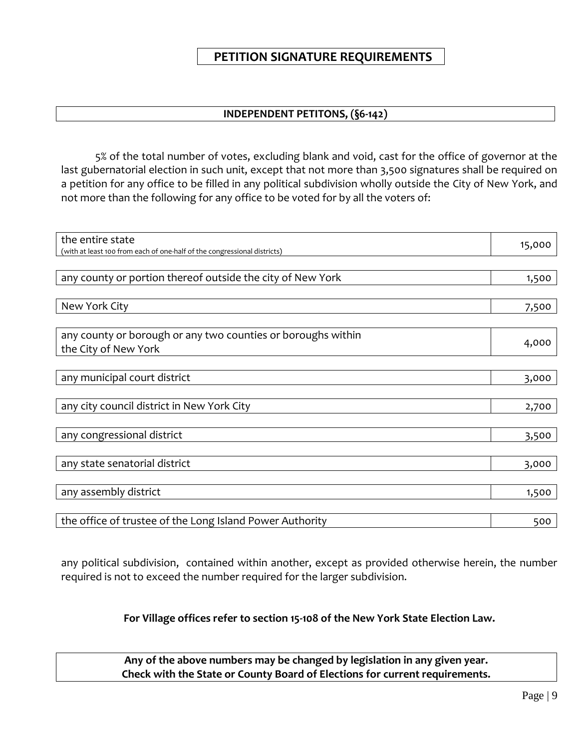# **PETITION SIGNATURE REQUIREMENTS**

# **INDEPENDENT PETITONS, (§6-142)**

5% of the total number of votes, excluding blank and void, cast for the office of governor at the last gubernatorial election in such unit, except that not more than 3,500 signatures shall be required on a petition for any office to be filled in any political subdivision wholly outside the City of New York, and not more than the following for any office to be voted for by all the voters of:

| the entire state                                                         | 15,000 |
|--------------------------------------------------------------------------|--------|
| (with at least 100 from each of one-half of the congressional districts) |        |
|                                                                          |        |
| any county or portion thereof outside the city of New York               | 1,500  |
|                                                                          |        |
| New York City                                                            | 7,500  |
|                                                                          |        |
| any county or borough or any two counties or boroughs within             |        |
| the City of New York                                                     | 4,000  |
|                                                                          |        |
| any municipal court district                                             | 3,000  |
|                                                                          |        |
| any city council district in New York City                               | 2,700  |
|                                                                          |        |
| any congressional district                                               | 3,500  |
|                                                                          |        |
| any state senatorial district                                            | 3,000  |
|                                                                          |        |
| any assembly district                                                    | 1,500  |
|                                                                          |        |
| the office of trustee of the Long Island Power Authority                 | 500    |

any political subdivision, contained within another, except as provided otherwise herein, the number required is not to exceed the number required for the larger subdivision.

# **For Village offices refer to section 15-108 of the New York State Election Law.**

**Any of the above numbers may be changed by legislation in any given year. Check with the State or County Board of Elections for current requirements.**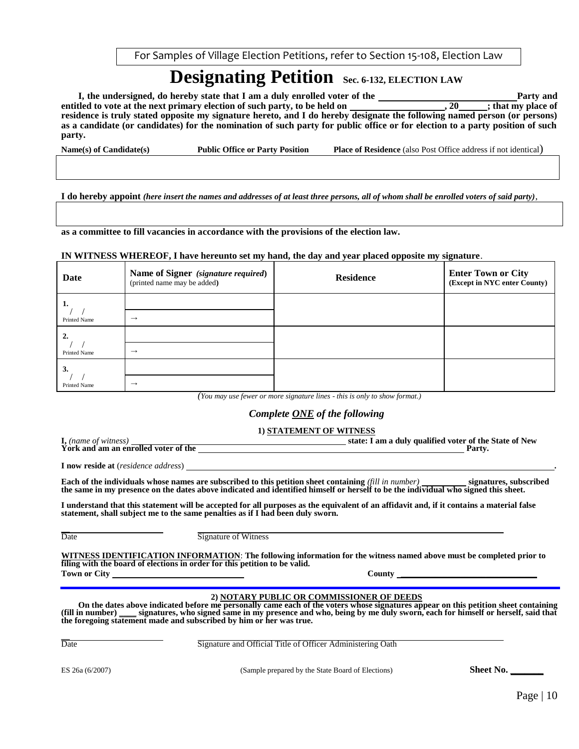For Samples of Village Election Petitions, refer to Section 15-108, Election Law

# **Designating Petition Sec. 6-132, ELECTION LAW**

**I, the undersigned, do hereby state that I am a duly enrolled voter of the Party and Party and entitled to vote at the next primary election of such party, to be held on , 20 ; that my place of residence is truly stated opposite my signature hereto, and I do hereby designate the following named person (or persons) as a candidate (or candidates) for the nomination of such party for public office or for election to a party position of such party.**

**Name(s) of Candidate(s) Public Office or Party Position Place of Residence** (also Post Office address if not identical)

**I do hereby appoint** *(here insert the names and addresses of at least three persons, all of whom shall be enrolled voters of said party)*,

**as a committee to fill vacancies in accordance with the provisions of the election law.**

#### **IN WITNESS WHEREOF, I have hereunto set my hand, the day and year placed opposite my signature**.

| Date                | Name of Signer (signature required)<br>(printed name may be added) | <b>Residence</b> | <b>Enter Town or City</b><br>(Except in NYC enter County) |
|---------------------|--------------------------------------------------------------------|------------------|-----------------------------------------------------------|
|                     |                                                                    |                  |                                                           |
| <b>Printed Name</b> | $\rightarrow$                                                      |                  |                                                           |
|                     |                                                                    |                  |                                                           |
| <b>Printed Name</b> | $\rightarrow$                                                      |                  |                                                           |
| 3.                  |                                                                    |                  |                                                           |
| <b>Printed Name</b> | $\rightarrow$                                                      |                  |                                                           |

*(You may use fewer or more signature lines - this is only to show format.)*

#### *Complete ONE of the following*

# **1) STATEMENT OF WITNESS**

**I,** *(name of witness)* **state: I am a duly qualified voter of the State of New**  York and am an enrolled voter of the

**I now reside at** (*residence address*) **.**

**Each of the individuals whose names are subscribed to this petition sheet containing** *(fill in number)* **signatures, subscribed the same in my presence on the dates above indicated and identified himself or herself to be the individual who signed this sheet.**

**I understand that this statement will be accepted for all purposes as the equivalent of an affidavit and, if it contains a material false statement, shall subject me to the same penalties as if I had been duly sworn.**

Date

Signature of Witness

**WITNESS IDENTIFICATION INFORMATION**: **The following information for the witness named above must be completed prior to filing with the board of elections in order for this petition to be valid. Town or City County \_\_\_\_\_\_\_\_\_\_\_\_\_\_\_\_\_\_\_\_\_\_\_\_\_\_\_\_\_\_\_\_**

#### **2) NOTARY PUBLIC OR COMMISSIONER OF DEEDS**

On the dates above indicated before me personally came each of the voters whose signatures appear on this petition sheet containing (fill in number) signatures, who signed same in my presence and who, being by me duly swor **(fill in number) \_\_\_\_ signatures, who signed same in my presence and who, being by me duly sworn, each for himself or herself, said that the foregoing statement made and subscribed by him or her was true.**

Date

Signature and Official Title of Officer Administering Oath

ES 26a (6/2007) (Sample prepared by the State Board of Elections) **Sheet No. \_\_\_\_\_\_\_**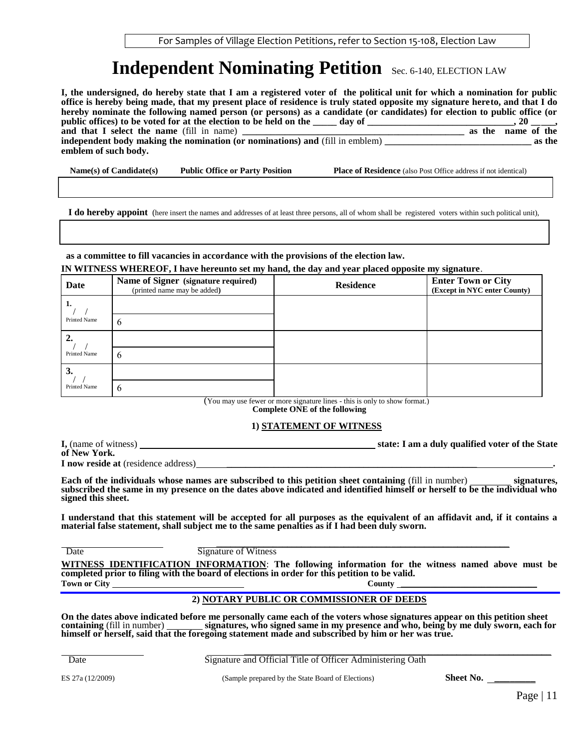# **Independent Nominating Petition** Sec. 6-140, ELECTION LAW

**I, the undersigned, do hereby state that I am a registered voter of the political unit for which a nomination for public office is hereby being made, that my present place of residence is truly stated opposite my signature hereto, and that I do hereby nominate the following named person (or persons) as a candidate (or candidates) for election to public office (or public offices) to be voted for at the election to be held on the \_\_\_\_\_ day of \_\_\_\_\_\_\_\_\_\_\_\_\_\_\_\_\_\_\_\_\_\_\_\_\_\_, 20**  $\frac{1}{\text{as the name of the}}$ **and that I select the name** (fill in name) **independent body making the nomination (or nominations) and** (fill in emblem) **\_\_\_\_\_\_\_\_\_\_\_\_\_\_\_\_\_\_\_\_\_\_\_\_\_\_\_\_\_\_\_ as the emblem of such body.**

 **Name(s) of Candidate(s) Public Office or Party Position Place of Residence** (also Post Office address if not identical)

 **I do hereby appoint** (here insert the names and addresses of at least three persons, all of whom shall be registered voters within such political unit),

 **as a committee to fill vacancies in accordance with the provisions of the election law.**

**IN WITNESS WHEREOF, I have hereunto set my hand, the day and year placed opposite my signature**.

| Date                | Name of Signer (signature required)<br>(printed name may be added) | <b>Residence</b> | <b>Enter Town or City</b><br>(Except in NYC enter County) |
|---------------------|--------------------------------------------------------------------|------------------|-----------------------------------------------------------|
| $-1.$               |                                                                    |                  |                                                           |
| <b>Printed Name</b> | 6                                                                  |                  |                                                           |
|                     |                                                                    |                  |                                                           |
| Printed Name        | 6                                                                  |                  |                                                           |
| 3.                  |                                                                    |                  |                                                           |
| <b>Printed Name</b> | 6                                                                  |                  |                                                           |

(You may use fewer or more signature lines - this is only to show format.)

**Complete ONE of the following**

#### **1) STATEMENT OF WITNESS**

| I, (name of witness) | state: I am a duly qualified voter of the State |
|----------------------|-------------------------------------------------|
| of New York.         |                                                 |

**I now reside at** (residence address) \_\_\_\_\_\_\_\_\_\_\_\_\_\_\_\_\_\_\_\_\_\_\_\_\_\_\_\_\_\_\_\_\_\_\_\_\_\_\_\_\_\_\_\_\_\_\_\_\_\_\_\_\_ **.**

**Each of the individuals whose names are subscribed to this petition sheet containing (fill in number) signatures, subscribed the same in my presence on the dates above indicated and identified himself or herself to be the individual who signed this sheet.**

**I understand that this statement will be accepted for all purposes as the equivalent of an affidavit and, if it contains a material false statement, shall subject me to the same penalties as if I had been duly sworn.**

 \_\_\_\_\_\_\_\_\_\_\_\_\_\_\_\_\_\_\_\_\_\_\_\_\_\_\_\_\_\_\_\_\_\_\_\_\_\_\_\_\_\_\_\_\_\_\_\_\_\_\_\_\_\_\_\_\_\_\_\_\_\_ **Date** Signature of Witness

**WITNESS IDENTIFICATION INFORMATION**: **The following information for the witness named above must be completed prior to filing with the board of elections in order for this petition to be valid. Town or City County \_\_\_\_\_\_\_\_\_\_\_\_\_\_\_\_\_\_\_\_\_\_\_\_\_\_\_\_\_\_\_\_**

#### **2) NOTARY PUBLIC OR COMMISSIONER OF DEEDS**

**On the dates above indicated before me personally came each of the voters whose signatures appear on this petition sheet containing** (fill in number) **signatures, who signed same in my presence and who, being by me duly sworn, each for himself or herself, said that the foregoing statement made and subscribed by him or her was true.**

 \_\_\_\_\_\_\_\_\_\_\_\_\_\_\_\_\_\_\_\_\_\_\_\_\_\_\_\_\_\_\_\_\_\_\_\_\_\_\_\_\_\_\_\_\_\_\_\_\_\_\_\_\_\_\_\_\_\_\_\_\_\_\_\_\_ **Date Signature and Official Title of Officer Administering Oath** 

ES 27a (12/2009) (Sample prepared by the State Board of Elections) **Sheet No.** \_\_\_\_\_\_\_\_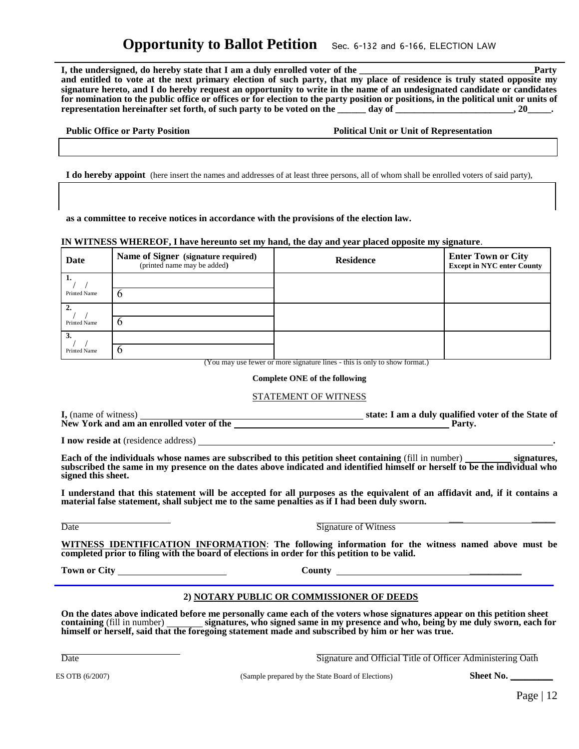# **Opportunity to Ballot Petition** Sec. 6-132 and 6-166, ELECTION LAW

**I, the undersigned, do hereby state that I am a duly enrolled voter of the state is a state of the state of the state is a state of the state is a state of the state is a state of the state is a state of the state is a st and entitled to vote at the next primary election of such party, that my place of residence is truly stated opposite my signature hereto, and I do hereby request an opportunity to write in the name of an undesignated candidate or candidates for nomination to the public office or offices or for election to the party position or positions, in the political unit or units of representation hereinafter set forth, of such party to be voted on the day of the case of the control of the control of the control of the control of the control of the control of the control of the control of the control** 

|  | <b>Public Office or Party Position</b> |  |
|--|----------------------------------------|--|
|  |                                        |  |

 **Political Unit or Unit of Representation** 

 **I do hereby appoint** (here insert the names and addresses of at least three persons, all of whom shall be enrolled voters of said party),

 **as a committee to receive notices in accordance with the provisions of the election law.**

#### **IN WITNESS WHEREOF, I have hereunto set my hand, the day and year placed opposite my signature**.

| Date                | Name of Signer (signature required)<br>(printed name may be added) | <b>Residence</b> | <b>Enter Town or City</b><br><b>Except in NYC enter County</b> |
|---------------------|--------------------------------------------------------------------|------------------|----------------------------------------------------------------|
|                     |                                                                    |                  |                                                                |
| <b>Printed Name</b> |                                                                    |                  |                                                                |
| $\mathcal{D}$       |                                                                    |                  |                                                                |
| <b>Printed Name</b> | O                                                                  |                  |                                                                |
|                     |                                                                    |                  |                                                                |
| <b>Printed Name</b> |                                                                    |                  |                                                                |

(You may use fewer or more signature lines - this is only to show format.)

#### **Complete ONE of the following**

#### STATEMENT OF WITNESS

| <b>I</b> , (name of witness)             | state: I am a duly qualified voter of the State of |
|------------------------------------------|----------------------------------------------------|
| New York and am an enrolled voter of the | Party.                                             |

**I now reside at** (residence address) **.**

**Each of the individuals whose names are subscribed to this petition sheet containing (fill in number) signatures, subscribed the same in my presence on the dates above indicated and identified himself or herself to be the individual who signed this sheet.**

**I understand that this statement will be accepted for all purposes as the equivalent of an affidavit and, if it contains a material false statement, shall subject me to the same penalties as if I had been duly sworn.**

| ۰.<br>.<br>۰. |
|---------------|
|---------------|

 $\overline{\phantom{a}}$  , and the contract of the contract of the contract of the contract of the contract of the contract of the contract of the contract of the contract of the contract of the contract of the contract of the contrac **Signature of Witness** 

**WITNESS IDENTIFICATION INFORMATION**: **The following information for the witness named above must be completed prior to filing with the board of elections in order for this petition to be valid.**

**Town or City County** \_\_\_\_\_\_\_\_\_\_\_

#### **2) NOTARY PUBLIC OR COMMISSIONER OF DEEDS**

**On the dates above indicated before me personally came each of the voters whose signatures appear on this petition sheet**  signatures, who signed same in my presence and who, being by me duly sworn, each for **himself or herself, said that the foregoing statement made and subscribed by him or her was true.**

 $\ddot{\phantom{a}}$ 

Date **Signature and Official Title of Officer Administering Oath** 

ES OTB (6/2007) **Sheet No.** (Sample prepared by the State Board of Elections) **Sheet No.**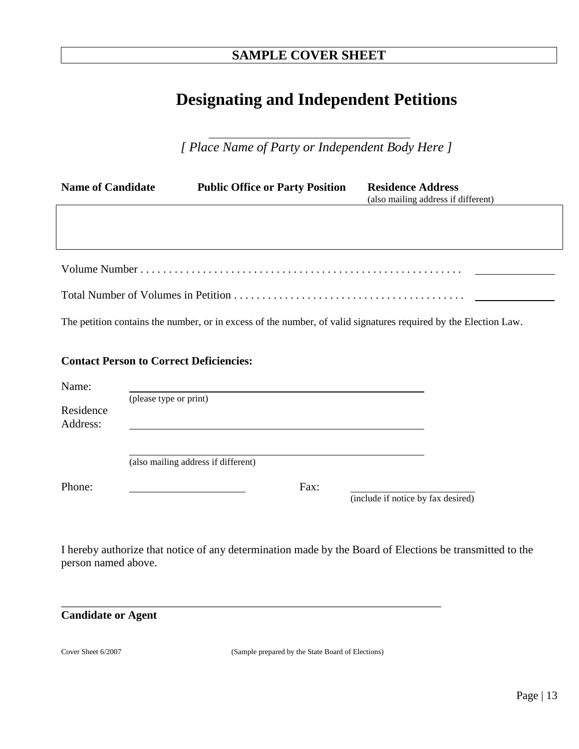# **SAMPLE COVER SHEET**

# **Designating and Independent Petitions**

 *[ Place Name of Party or Independent Body Here ]*

| <b>Name of Candidate</b> | <b>Public Office or Party Position</b> | <b>Residence Address</b><br>(also mailing address if different) |
|--------------------------|----------------------------------------|-----------------------------------------------------------------|
|                          |                                        |                                                                 |
|                          |                                        |                                                                 |
|                          |                                        |                                                                 |
|                          |                                        |                                                                 |

The petition contains the number, or in excess of the number, of valid signatures required by the Election Law.

# **Contact Person to Correct Deficiencies:**

| Name:                 |                                     |      |                                    |
|-----------------------|-------------------------------------|------|------------------------------------|
|                       | (please type or print)              |      |                                    |
| Residence<br>Address: |                                     |      |                                    |
|                       |                                     |      |                                    |
|                       | (also mailing address if different) |      |                                    |
|                       |                                     |      |                                    |
| Phone:                |                                     | Fax: |                                    |
|                       |                                     |      | (include if notice by fax desired) |

\_\_\_\_\_\_\_\_\_\_\_\_\_\_\_\_\_\_\_\_\_\_\_\_\_\_\_\_\_\_\_\_\_\_\_\_\_\_\_\_\_\_\_\_\_\_\_\_\_\_\_\_\_\_\_\_\_\_\_\_\_\_\_\_\_\_\_

I hereby authorize that notice of any determination made by the Board of Elections be transmitted to the person named above.

# **Candidate or Agent**

Cover Sheet 6/2007 (Sample prepared by the State Board of Elections)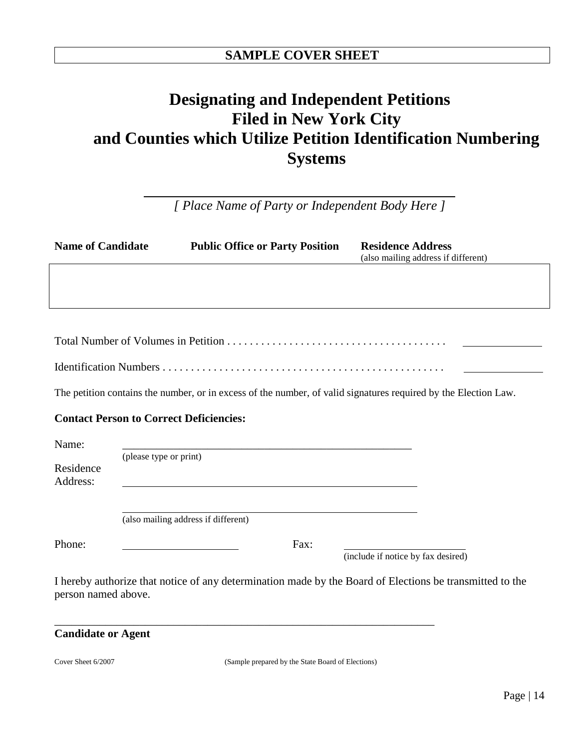# **Designating and Independent Petitions Filed in New York City and Counties which Utilize Petition Identification Numbering Systems**

*[ Place Name of Party or Independent Body Here ]*

| <b>Name of Candidate</b> |                                                | <b>Public Office or Party Position</b> | <b>Residence Address</b><br>(also mailing address if different)                                                 |
|--------------------------|------------------------------------------------|----------------------------------------|-----------------------------------------------------------------------------------------------------------------|
|                          |                                                |                                        |                                                                                                                 |
|                          |                                                |                                        |                                                                                                                 |
|                          |                                                |                                        |                                                                                                                 |
|                          |                                                |                                        |                                                                                                                 |
|                          |                                                |                                        | The petition contains the number, or in excess of the number, of valid signatures required by the Election Law. |
|                          | <b>Contact Person to Correct Deficiencies:</b> |                                        |                                                                                                                 |
| Name:                    |                                                |                                        |                                                                                                                 |
| Residence<br>Address:    | (please type or print)                         |                                        |                                                                                                                 |
|                          | (also mailing address if different)            |                                        |                                                                                                                 |

Phone: The Contract Contract Contract Contract Contract Contract Contract Contract Contract Contract Contract Contract Contract Contract Contract Contract Contract Contract Contract Contract Contract Contract Contract Cont

(include if notice by fax desired)

I hereby authorize that notice of any determination made by the Board of Elections be transmitted to the person named above.

\_\_\_\_\_\_\_\_\_\_\_\_\_\_\_\_\_\_\_\_\_\_\_\_\_\_\_\_\_\_\_\_\_\_\_\_\_\_\_\_\_\_\_\_\_\_\_\_\_\_\_\_\_\_\_\_\_\_\_\_\_\_\_\_\_\_\_

| <b>Candidate or Agent</b> |  |  |  |
|---------------------------|--|--|--|
|---------------------------|--|--|--|

Cover Sheet 6/2007 (Sample prepared by the State Board of Elections)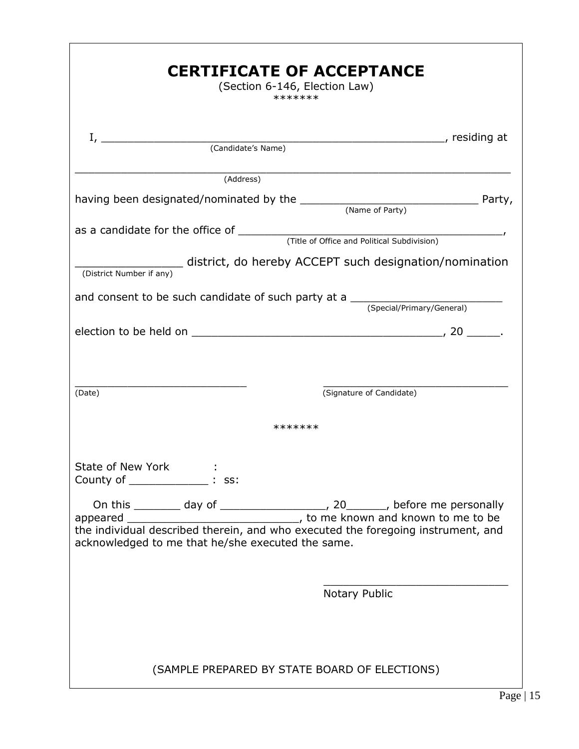| <b>CERTIFICATE OF ACCEPTANCE</b><br>(Section 6-146, Election Law)<br>*******                                                          |
|---------------------------------------------------------------------------------------------------------------------------------------|
|                                                                                                                                       |
| (Address)                                                                                                                             |
| having been designated/nominated by the $\frac{1}{\text{Name of Party}}$ Party,                                                       |
|                                                                                                                                       |
| district, do hereby ACCEPT such designation/nomination<br>(District Number if any)                                                    |
| and consent to be such candidate of such party at a $\frac{1}{(Special/Primary/General)}$                                             |
|                                                                                                                                       |
| (Signature of Candidate)<br>(Date)                                                                                                    |
| *******                                                                                                                               |
| State of New York :<br>County of The State State State State State State State State State State State State State State State State  |
| the individual described therein, and who executed the foregoing instrument, and<br>acknowledged to me that he/she executed the same. |
| Notary Public                                                                                                                         |
| (SAMPLE PREPARED BY STATE BOARD OF ELECTIONS)                                                                                         |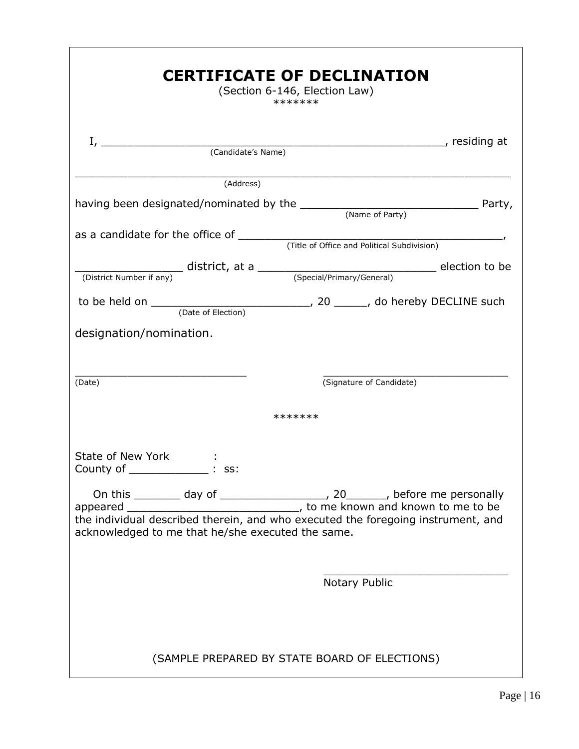| <b>CERTIFICATE OF DECLINATION</b><br>(Section 6-146, Election Law)<br>*******        |
|--------------------------------------------------------------------------------------|
|                                                                                      |
| (Address)                                                                            |
| having been designated/nominated by the $\frac{1}{\text{Name of Party}}$ Party,      |
|                                                                                      |
|                                                                                      |
| to be held on $\frac{1}{(Date \ of \ Electronic)}$ , 20 ____, do hereby DECLINE such |
| designation/nomination.                                                              |
| (Signature of Candidate)<br>(Date)                                                   |
| *******                                                                              |
| State of New York<br>County of _____<br>SS:                                          |
| acknowledged to me that he/she executed the same.                                    |
| Notary Public                                                                        |
| (SAMPLE PREPARED BY STATE BOARD OF ELECTIONS)                                        |

Г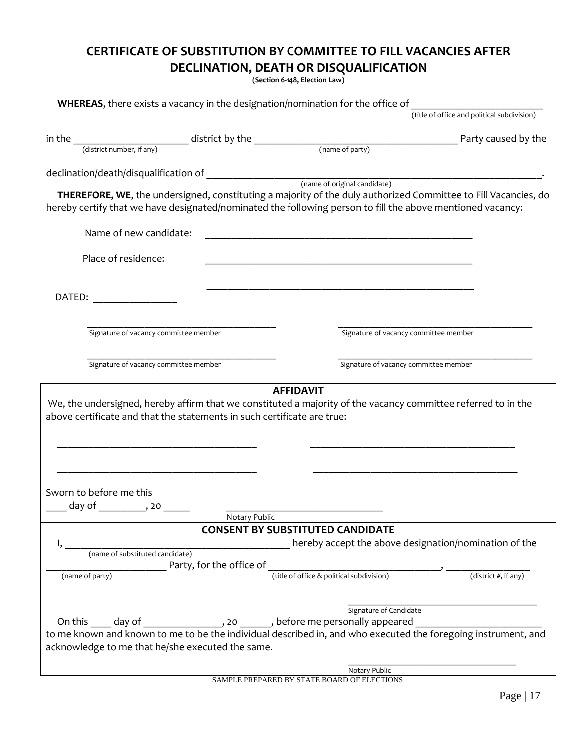|                                                                                                                                        | <b>CERTIFICATE OF SUBSTITUTION BY COMMITTEE TO FILL VACANCIES AFTER</b><br>DECLINATION, DEATH OR DISQUALIFICATION<br>(Section 6-148, Election Law)                                                                           |
|----------------------------------------------------------------------------------------------------------------------------------------|------------------------------------------------------------------------------------------------------------------------------------------------------------------------------------------------------------------------------|
| WHEREAS, there exists a vacancy in the designation/nomination for the office of                                                        |                                                                                                                                                                                                                              |
|                                                                                                                                        | (title of office and political subdivision)                                                                                                                                                                                  |
| in the                                                                                                                                 | Party caused by the                                                                                                                                                                                                          |
|                                                                                                                                        |                                                                                                                                                                                                                              |
|                                                                                                                                        |                                                                                                                                                                                                                              |
|                                                                                                                                        | THEREFORE, WE, the undersigned, constituting a majority of the duly authorized Committee to Fill Vacancies, do<br>hereby certify that we have designated/nominated the following person to fill the above mentioned vacancy: |
| Name of new candidate:                                                                                                                 |                                                                                                                                                                                                                              |
| Place of residence:                                                                                                                    |                                                                                                                                                                                                                              |
| DATED:                                                                                                                                 |                                                                                                                                                                                                                              |
| Signature of vacancy committee member                                                                                                  | Signature of vacancy committee member                                                                                                                                                                                        |
| Signature of vacancy committee member                                                                                                  | Signature of vacancy committee member                                                                                                                                                                                        |
| above certificate and that the statements in such certificate are true:<br>Sworn to before me this<br>day of ____________, 20 ______   | <b>AFFIDAVIT</b><br>We, the undersigned, hereby affirm that we constituted a majority of the vacancy committee referred to in the                                                                                            |
| Notary Public                                                                                                                          |                                                                                                                                                                                                                              |
| (name of substituted candidate)<br>(name of party)                                                                                     | <b>CONSENT BY SUBSTITUTED CANDIDATE</b><br>hereby accept the above designation/nomination of the<br>Party, for the office of $\frac{1}{(}$ (title of office & political subdivision) $\frac{1}{(}$ (district #, if any)      |
| On this _____ day of __________________, 20 _______, before me personally appeared<br>acknowledge to me that he/she executed the same. | Signature of Candidate<br>to me known and known to me to be the individual described in, and who executed the foregoing instrument, and<br>Notary Public                                                                     |

SAMPLE PREPARED BY STATE BOARD OF ELECTIONS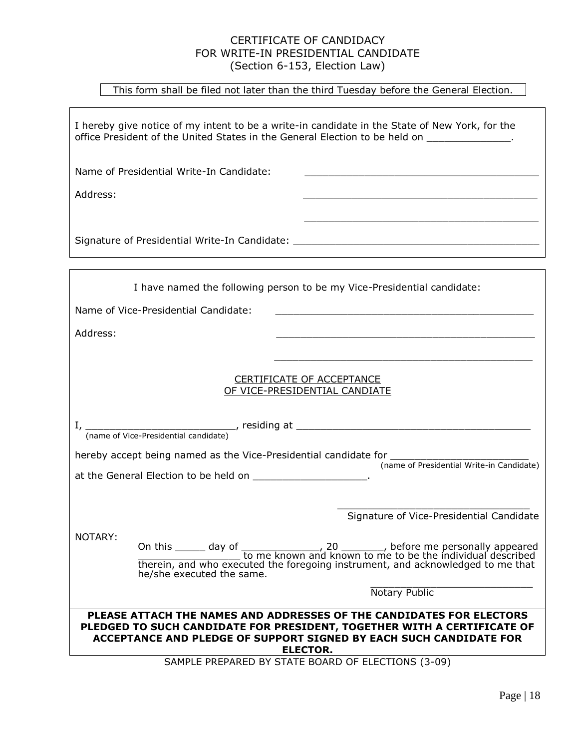# CERTIFICATE OF CANDIDACY FOR WRITE-IN PRESIDENTIAL CANDIDATE (Section 6-153, Election Law)

This form shall be filed not later than the third Tuesday before the General Election.

I hereby give notice of my intent to be a write-in candidate in the State of New York, for the office President of the United States in the General Election to be held on \_\_\_\_\_\_\_\_\_\_\_\_\_\_.

 $\overline{\phantom{a}}$  , and the state of the state of the state of the state of the state of the state of the state of the state of the state of the state of the state of the state of the state of the state of the state of the stat

Name of Presidential Write-In Candidate:

Address: \_\_\_\_\_\_\_\_\_\_\_\_\_\_\_\_\_\_\_\_\_\_\_\_\_\_\_\_\_\_\_\_\_\_\_\_\_\_\_

Signature of Presidential Write-In Candidate: \_\_\_\_\_\_\_\_\_\_\_\_\_\_\_\_\_\_\_\_\_\_\_\_\_\_\_\_\_\_\_\_\_\_

| I have named the following person to be my Vice-Presidential candidate:                                                                                                                                                                  |
|------------------------------------------------------------------------------------------------------------------------------------------------------------------------------------------------------------------------------------------|
| Name of Vice-Presidential Candidate:                                                                                                                                                                                                     |
| Address:                                                                                                                                                                                                                                 |
|                                                                                                                                                                                                                                          |
| CERTIFICATE OF ACCEPTANCE<br>OF VICE-PRESIDENTIAL CANDIATE                                                                                                                                                                               |
|                                                                                                                                                                                                                                          |
| hereby accept being named as the Vice-Presidential candidate for ________________<br>(name of Presidential Write-in Candidate)                                                                                                           |
|                                                                                                                                                                                                                                          |
| Signature of Vice-Presidential Candidate                                                                                                                                                                                                 |
| NOTARY:<br>he/she executed the same.                                                                                                                                                                                                     |
| Notary Public                                                                                                                                                                                                                            |
| PLEASE ATTACH THE NAMES AND ADDRESSES OF THE CANDIDATES FOR ELECTORS<br>PLEDGED TO SUCH CANDIDATE FOR PRESIDENT, TOGETHER WITH A CERTIFICATE OF<br>ACCEPTANCE AND PLEDGE OF SUPPORT SIGNED BY EACH SUCH CANDIDATE FOR<br><b>ELECTOR.</b> |
| SAMPLE PREPARED BY STATE BOARD OF ELECTIONS (3-09)                                                                                                                                                                                       |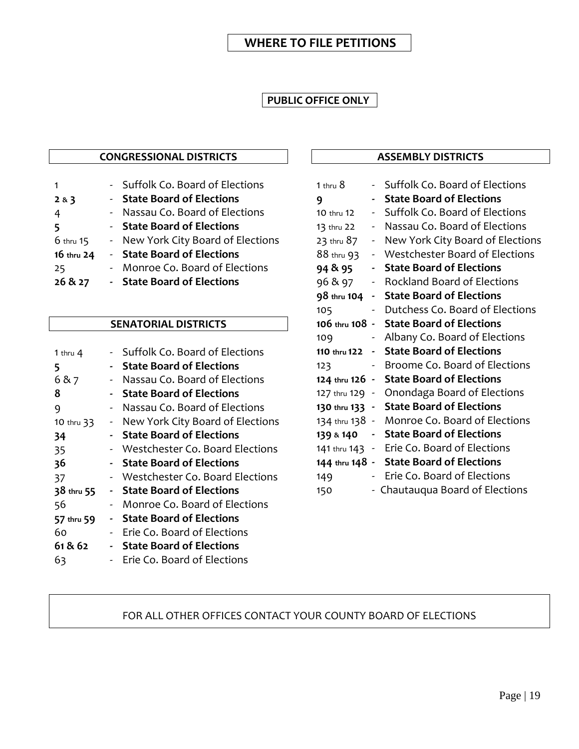# **PUBLIC OFFICE ONLY**

# **CONGRESSIONAL DISTRICTS**

|            |            | - Suffolk Co. Board of Elections   |
|------------|------------|------------------------------------|
| 283        | $\sim$ $-$ | <b>State Board of Elections</b>    |
| 4          |            | - Nassau Co. Board of Elections    |
| 5          |            | - State Board of Elections         |
| 6 thru 15  |            | - New York City Board of Elections |
| 16 thru 24 |            | - State Board of Elections         |
| 25         |            | Monroe Co. Board of Elections      |
| 26 & 27    |            | - State Board of Elections         |
|            |            |                                    |

# **SENATORIAL DISTRICTS**

| 1 thru $4$ |                          | Suffolk Co. Board of Elections   |
|------------|--------------------------|----------------------------------|
| 5          |                          | <b>State Board of Elections</b>  |
| 6 & 7      |                          | Nassau Co. Board of Elections    |
| 8          |                          | <b>State Board of Elections</b>  |
| 9          | $\blacksquare$           | Nassau Co. Board of Elections    |
| 10 thru 33 | $\blacksquare$           | New York City Board of Elections |
| 34         |                          | <b>State Board of Elections</b>  |
| 35         | $\sim$                   | Westchester Co. Board Elections  |
| 36         |                          | <b>State Board of Elections</b>  |
| 37         |                          | Westchester Co. Board Elections  |
|            |                          |                                  |
| 38 thru 55 |                          | - State Board of Elections       |
| 56         |                          | Monroe Co. Board of Elections    |
| 57 thru 59 | -                        | <b>State Board of Elections</b>  |
| 60         | $\overline{\phantom{0}}$ | Erie Co. Board of Elections      |
| 61 & 62    |                          | <b>State Board of Elections</b>  |
| 63         |                          | Erie Co. Board of Elections      |

# **ASSEMBLY DISTRICTS**

| 1 thru $8$     | $\blacksquare$           | Suffolk Co. Board of Elections               |
|----------------|--------------------------|----------------------------------------------|
| 9              | ۰.                       | <b>State Board of Elections</b>              |
| 10 thru 12     | $\sim$                   | Suffolk Co. Board of Elections               |
| 13 thru 22     | $\blacksquare$           | Nassau Co. Board of Elections                |
| 23 thru 87     | $\overline{\phantom{a}}$ | New York City Board of Elections             |
| 88 thru 93     | $\overline{\phantom{a}}$ | Westchester Board of Elections               |
| 94 & 95        | ۰.                       | <b>State Board of Elections</b>              |
| 96 & 97        | $\sim$                   | <b>Rockland Board of Elections</b>           |
| 98 thru 104    |                          | - State Board of Elections                   |
| 105            | -                        | Dutchess Co. Board of Elections              |
|                |                          | 106 thru 108 - State Board of Elections      |
| 109            | $\sim$                   | Albany Co. Board of Elections                |
| 110 thru 122 - |                          | <b>State Board of Elections</b>              |
| 123            | ۰.                       | Broome Co. Board of Elections                |
| 124 thru 126 - |                          | <b>State Board of Elections</b>              |
|                |                          | 127 thru 129 - Onondaga Board of Elections   |
|                |                          | 130 thru 133 - State Board of Elections      |
|                |                          | 134 thru 138 - Monroe Co. Board of Elections |
|                |                          | 139 & 140 - State Board of Elections         |
|                |                          | 141 thru 143 - Erie Co. Board of Elections   |
|                |                          | 144 thru 148 - State Board of Elections      |
| 149            |                          | Erie Co. Board of Elections                  |
| 150            |                          | - Chautauqua Board of Elections              |

# FOR ALL OTHER OFFICES CONTACT YOUR COUNTY BOARD OF ELECTIONS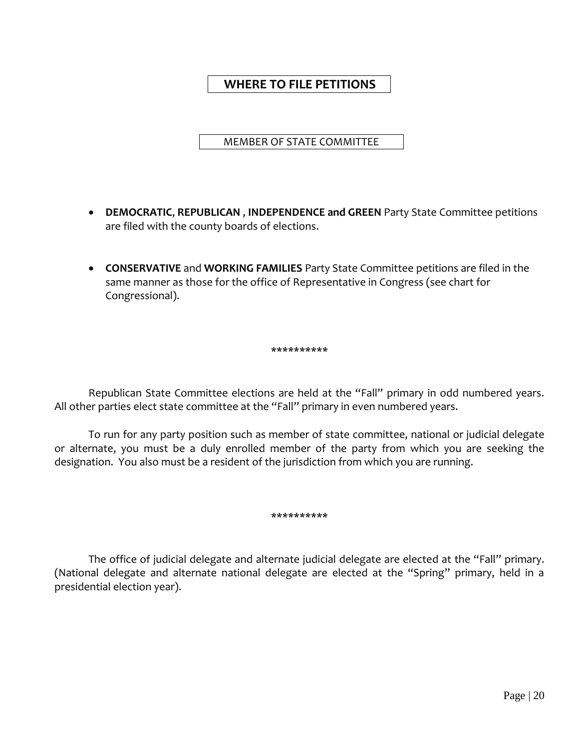MEMBER OF STATE COMMITTEE

- **DEMOCRATIC**, **REPUBLICAN** , **INDEPENDENCE and GREEN** Party State Committee petitions are filed with the county boards of elections.
- **CONSERVATIVE** and **WORKING FAMILIES** Party State Committee petitions are filed in the same manner as those for the office of Representative in Congress (see chart for Congressional).

\*\*\*\*\*\*\*\*\*\*

Republican State Committee elections are held at the "Fall" primary in odd numbered years. All other parties elect state committee at the "Fall" primary in even numbered years.

To run for any party position such as member of state committee, national or judicial delegate or alternate, you must be a duly enrolled member of the party from which you are seeking the designation. You also must be a resident of the jurisdiction from which you are running.

\*\*\*\*\*\*\*\*\*\*

The office of judicial delegate and alternate judicial delegate are elected at the "Fall" primary. (National delegate and alternate national delegate are elected at the "Spring" primary, held in a presidential election year).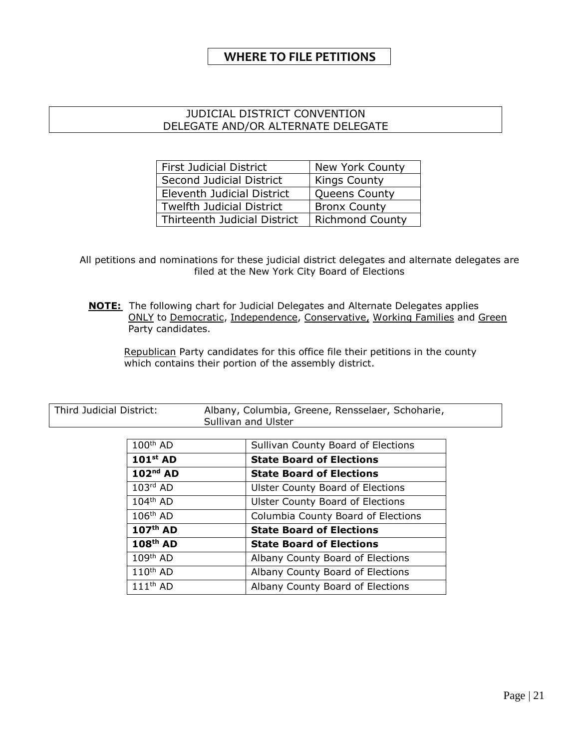# JUDICIAL DISTRICT CONVENTION DELEGATE AND/OR ALTERNATE DELEGATE

| <b>First Judicial District</b>   | New York County        |
|----------------------------------|------------------------|
| Second Judicial District         | <b>Kings County</b>    |
| Eleventh Judicial District       | <b>Queens County</b>   |
| <b>Twelfth Judicial District</b> | <b>Bronx County</b>    |
| Thirteenth Judicial District     | <b>Richmond County</b> |

All petitions and nominations for these judicial district delegates and alternate delegates are filed at the New York City Board of Elections

**NOTE:** The following chart for Judicial Delegates and Alternate Delegates applies ONLY to Democratic, Independence, Conservative, Working Families and Green Party candidates.

Republican Party candidates for this office file their petitions in the county which contains their portion of the assembly district.

| Third Judicial District: |                      | Albany, Columbia, Greene, Rensselaer, Schoharie,<br>Sullivan and Ulster |  |  |
|--------------------------|----------------------|-------------------------------------------------------------------------|--|--|
|                          | $100th$ AD           | Sullivan County Board of Elections                                      |  |  |
|                          | $101st$ AD           | <b>State Board of Elections</b>                                         |  |  |
|                          | $102nd$ AD           | <b>State Board of Elections</b>                                         |  |  |
|                          | $103rd$ AD           | <b>Ulster County Board of Elections</b>                                 |  |  |
|                          | $104^{\text{th}}$ AD | <b>Ulster County Board of Elections</b>                                 |  |  |
|                          | $106th$ AD           | Columbia County Board of Elections                                      |  |  |
|                          | 107 <sup>th</sup> AD | <b>State Board of Elections</b>                                         |  |  |
|                          | 108 <sup>th</sup> AD | <b>State Board of Elections</b>                                         |  |  |
|                          | $109th$ AD           | Albany County Board of Elections                                        |  |  |
|                          | $110th$ AD           | Albany County Board of Elections                                        |  |  |
|                          | $111th$ AD           | Albany County Board of Elections                                        |  |  |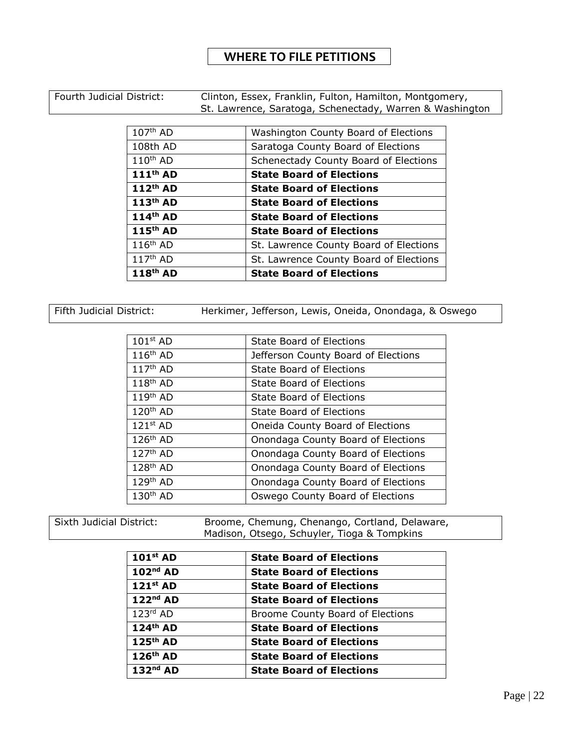Fourth Judicial District: Clinton, Essex, Franklin, Fulton, Hamilton, Montgomery, St. Lawrence, Saratoga, Schenectady, Warren & Washington

| $107th$ AD           | Washington County Board of Elections   |  |  |
|----------------------|----------------------------------------|--|--|
| 108th AD             | Saratoga County Board of Elections     |  |  |
| $110th$ AD           | Schenectady County Board of Elections  |  |  |
| 111 <sup>th</sup> AD | <b>State Board of Elections</b>        |  |  |
| 112 <sup>th</sup> AD | <b>State Board of Elections</b>        |  |  |
| 113 <sup>th</sup> AD | <b>State Board of Elections</b>        |  |  |
| 114 <sup>th</sup> AD | <b>State Board of Elections</b>        |  |  |
| 115 <sup>th</sup> AD | <b>State Board of Elections</b>        |  |  |
| $116th$ AD           | St. Lawrence County Board of Elections |  |  |
| $117th$ AD           | St. Lawrence County Board of Elections |  |  |
| 118 <sup>th</sup> AD | <b>State Board of Elections</b>        |  |  |

Fifth Judicial District: Herkimer, Jefferson, Lewis, Oneida, Onondaga, & Oswego

| $101st$ AD           | State Board of Elections            |  |  |
|----------------------|-------------------------------------|--|--|
| $116th$ AD           | Jefferson County Board of Elections |  |  |
| $117th$ AD           | <b>State Board of Elections</b>     |  |  |
| $118th$ AD           | <b>State Board of Elections</b>     |  |  |
| 119 <sup>th</sup> AD | State Board of Elections            |  |  |
| 120 <sup>th</sup> AD | State Board of Elections            |  |  |
| $121st$ AD           | Oneida County Board of Elections    |  |  |
| $126th$ AD           | Onondaga County Board of Elections  |  |  |
| $127th$ AD           | Onondaga County Board of Elections  |  |  |
| $128th$ AD           | Onondaga County Board of Elections  |  |  |
| $129th$ AD           | Onondaga County Board of Elections  |  |  |
| $130th$ AD           | Oswego County Board of Elections    |  |  |

Sixth Judicial District: Broome, Chemung, Chenango, Cortland, Delaware, Madison, Otsego, Schuyler, Tioga & Tompkins

| $101st$ AD           | <b>State Board of Elections</b>  |  |
|----------------------|----------------------------------|--|
| $102nd$ AD           | <b>State Board of Elections</b>  |  |
| $121st$ AD           | <b>State Board of Elections</b>  |  |
| $122nd$ AD           | <b>State Board of Elections</b>  |  |
| $123rd$ AD           | Broome County Board of Elections |  |
| $124th$ AD           | <b>State Board of Elections</b>  |  |
| $125th$ AD           | <b>State Board of Elections</b>  |  |
| 126 <sup>th</sup> AD | <b>State Board of Elections</b>  |  |
| $132nd$ AD           | <b>State Board of Elections</b>  |  |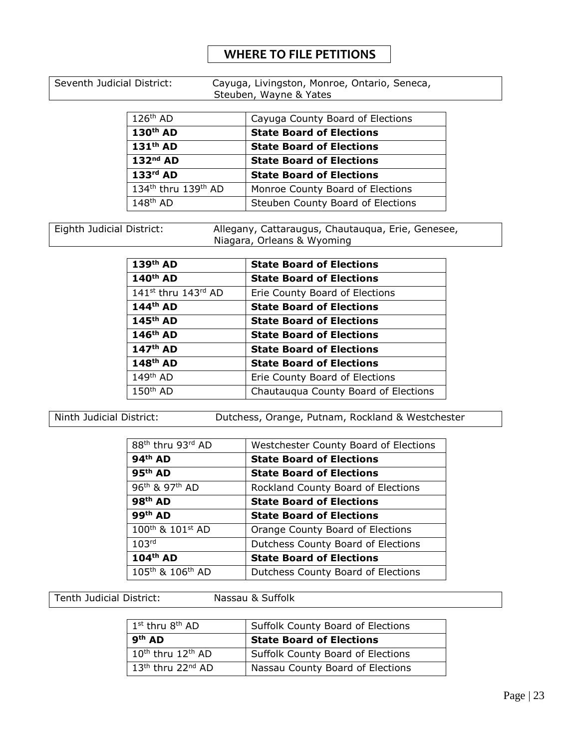Seventh Judicial District: Cayuga, Livingston, Monroe, Ontario, Seneca, Steuben, Wayne & Yates

| $126th$ AD                                  | Cayuga County Board of Elections  |  |  |
|---------------------------------------------|-----------------------------------|--|--|
| 130 <sup>th</sup> AD                        | <b>State Board of Elections</b>   |  |  |
| 131 <sup>th</sup> AD                        | <b>State Board of Elections</b>   |  |  |
| $132nd$ AD                                  | <b>State Board of Elections</b>   |  |  |
| $133rd$ AD                                  | <b>State Board of Elections</b>   |  |  |
| 134 <sup>th</sup> thru 139 <sup>th</sup> AD | Monroe County Board of Elections  |  |  |
| $148th$ AD                                  | Steuben County Board of Elections |  |  |

Eighth Judicial District: Allegany, Cattaraugus, Chautauqua, Erie, Genesee, Niagara, Orleans & Wyoming

| 139 <sup>th</sup> AD            | <b>State Board of Elections</b>      |  |  |
|---------------------------------|--------------------------------------|--|--|
| 140 <sup>th</sup> AD            | <b>State Board of Elections</b>      |  |  |
| 141 <sup>st</sup> thru 143rd AD | Erie County Board of Elections       |  |  |
| $144th$ AD                      | <b>State Board of Elections</b>      |  |  |
| $145th$ AD                      | <b>State Board of Elections</b>      |  |  |
| 146 <sup>th</sup> AD            | <b>State Board of Elections</b>      |  |  |
| 147 <sup>th</sup> AD            | <b>State Board of Elections</b>      |  |  |
| $148th$ AD                      | <b>State Board of Elections</b>      |  |  |
| $149th$ AD                      | Erie County Board of Elections       |  |  |
| $150th$ AD                      | Chautauqua County Board of Elections |  |  |

Ninth Judicial District: Dutchess, Orange, Putnam, Rockland & Westchester

| 88 <sup>th</sup> thru 93rd AD            | <b>Westchester County Board of Elections</b> |  |  |
|------------------------------------------|----------------------------------------------|--|--|
| $94th$ AD                                | <b>State Board of Elections</b>              |  |  |
| $95th$ AD                                | <b>State Board of Elections</b>              |  |  |
| 96 <sup>th</sup> & 97 <sup>th</sup> AD   | Rockland County Board of Elections           |  |  |
| $98th$ AD                                | <b>State Board of Elections</b>              |  |  |
| 99 <sup>th</sup> AD                      | <b>State Board of Elections</b>              |  |  |
| 100th & 101st AD                         | Orange County Board of Elections             |  |  |
| 103 <sup>rd</sup>                        | Dutchess County Board of Elections           |  |  |
| 104 <sup>th</sup> AD                     | <b>State Board of Elections</b>              |  |  |
| 105 <sup>th</sup> & 106 <sup>th</sup> AD | Dutchess County Board of Elections           |  |  |

Tenth Judicial District: Nassau & Suffolk

| $1^{\text{st}}$ thru $8^{\text{th}}$ AD   | <b>Suffolk County Board of Elections</b> |  |
|-------------------------------------------|------------------------------------------|--|
| 9 <sup>th</sup> AD                        | <b>State Board of Elections</b>          |  |
| $10^{\text{th}}$ thru $12^{\text{th}}$ AD | <b>Suffolk County Board of Elections</b> |  |
| $13th$ thru 22 <sup>nd</sup> AD           | Nassau County Board of Elections         |  |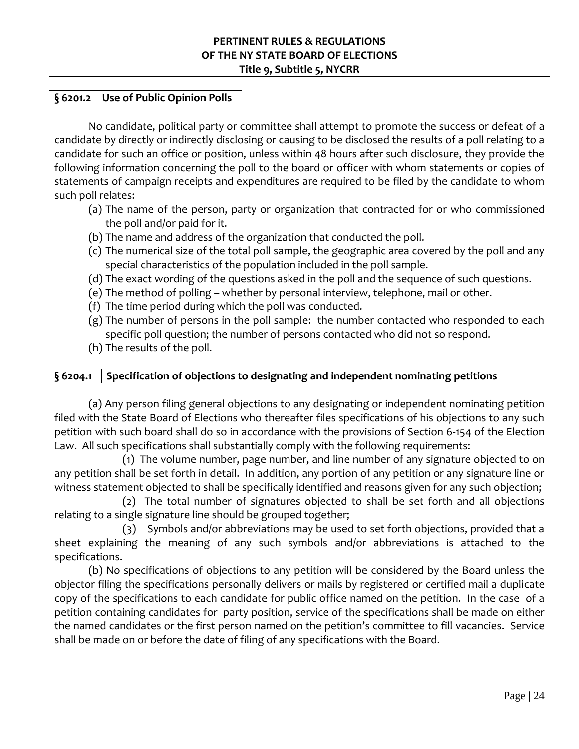# **§ 6201.2 Use of Public Opinion Polls**

No candidate, political party or committee shall attempt to promote the success or defeat of a candidate by directly or indirectly disclosing or causing to be disclosed the results of a poll relating to a candidate for such an office or position, unless within 48 hours after such disclosure, they provide the following information concerning the poll to the board or officer with whom statements or copies of statements of campaign receipts and expenditures are required to be filed by the candidate to whom such poll relates:

- (a) The name of the person, party or organization that contracted for or who commissioned the poll and/or paid for it.
- (b) The name and address of the organization that conducted the poll.
- (c) The numerical size of the total poll sample, the geographic area covered by the poll and any special characteristics of the population included in the poll sample.
- (d) The exact wording of the questions asked in the poll and the sequence of such questions.
- (e) The method of polling whether by personal interview, telephone, mail or other.
- (f) The time period during which the poll was conducted.
- (g) The number of persons in the poll sample: the number contacted who responded to each specific poll question; the number of persons contacted who did not so respond.
- (h) The results of the poll.

# **§ 6204.1 Specification of objections to designating and independent nominating petitions**

(a) Any person filing general objections to any designating or independent nominating petition filed with the State Board of Elections who thereafter files specifications of his objections to any such petition with such board shall do so in accordance with the provisions of Section 6-154 of the Election Law. All such specifications shall substantially comply with the following requirements:

(1) The volume number, page number, and line number of any signature objected to on any petition shall be set forth in detail. In addition, any portion of any petition or any signature line or witness statement objected to shall be specifically identified and reasons given for any such objection;

(2) The total number of signatures objected to shall be set forth and all objections relating to a single signature line should be grouped together;

(3) Symbols and/or abbreviations may be used to set forth objections, provided that a sheet explaining the meaning of any such symbols and/or abbreviations is attached to the specifications.

(b) No specifications of objections to any petition will be considered by the Board unless the objector filing the specifications personally delivers or mails by registered or certified mail a duplicate copy of the specifications to each candidate for public office named on the petition. In the case of a petition containing candidates for party position, service of the specifications shall be made on either the named candidates or the first person named on the petition's committee to fill vacancies. Service shall be made on or before the date of filing of any specifications with the Board.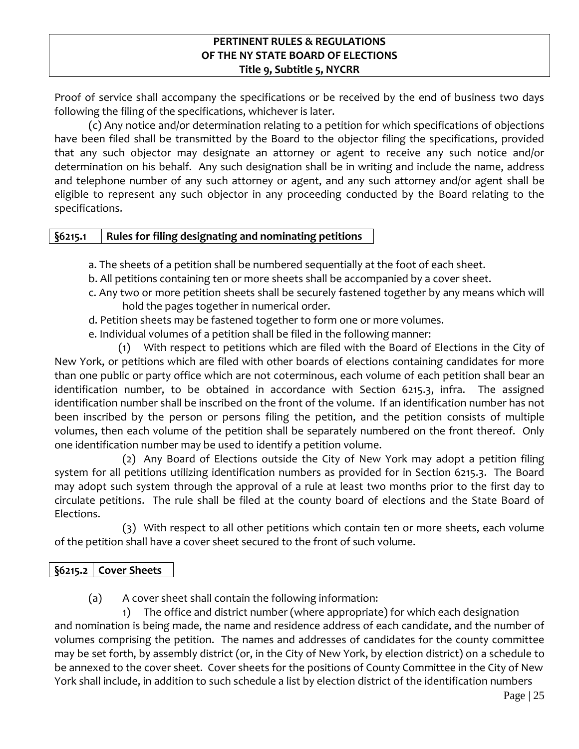Proof of service shall accompany the specifications or be received by the end of business two days following the filing of the specifications, whichever is later.

(c) Any notice and/or determination relating to a petition for which specifications of objections have been filed shall be transmitted by the Board to the objector filing the specifications, provided that any such objector may designate an attorney or agent to receive any such notice and/or determination on his behalf. Any such designation shall be in writing and include the name, address and telephone number of any such attorney or agent, and any such attorney and/or agent shall be eligible to represent any such objector in any proceeding conducted by the Board relating to the specifications.

# **§6215.1 Rules for filing designating and nominating petitions**

- a. The sheets of a petition shall be numbered sequentially at the foot of each sheet.
- b. All petitions containing ten or more sheets shall be accompanied by a cover sheet.
- c. Any two or more petition sheets shall be securely fastened together by any means which will hold the pages together in numerical order.
- d. Petition sheets may be fastened together to form one or more volumes.
- e. Individual volumes of a petition shall be filed in the following manner:

(1) With respect to petitions which are filed with the Board of Elections in the City of New York, or petitions which are filed with other boards of elections containing candidates for more than one public or party office which are not coterminous, each volume of each petition shall bear an identification number, to be obtained in accordance with Section 6215.3, infra. The assigned identification number shall be inscribed on the front of the volume. If an identification number has not been inscribed by the person or persons filing the petition, and the petition consists of multiple volumes, then each volume of the petition shall be separately numbered on the front thereof. Only one identification number may be used to identify a petition volume.

(2) Any Board of Elections outside the City of New York may adopt a petition filing system for all petitions utilizing identification numbers as provided for in Section 6215.3. The Board may adopt such system through the approval of a rule at least two months prior to the first day to circulate petitions. The rule shall be filed at the county board of elections and the State Board of Elections.

(3) With respect to all other petitions which contain ten or more sheets, each volume of the petition shall have a cover sheet secured to the front of such volume.

# **§6215.2 Cover Sheets**

(a) A cover sheet shall contain the following information:

1) The office and district number (where appropriate) for which each designation and nomination is being made, the name and residence address of each candidate, and the number of volumes comprising the petition. The names and addresses of candidates for the county committee may be set forth, by assembly district (or, in the City of New York, by election district) on a schedule to be annexed to the cover sheet. Cover sheets for the positions of County Committee in the City of New York shall include, in addition to such schedule a list by election district of the identification numbers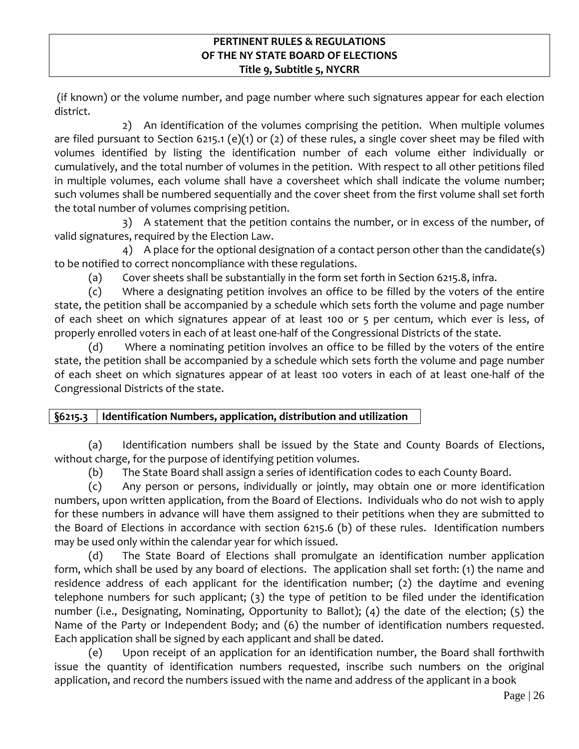(if known) or the volume number, and page number where such signatures appear for each election district.

2) An identification of the volumes comprising the petition. When multiple volumes are filed pursuant to Section 6215.1 (e)(1) or (2) of these rules, a single cover sheet may be filed with volumes identified by listing the identification number of each volume either individually or cumulatively, and the total number of volumes in the petition. With respect to all other petitions filed in multiple volumes, each volume shall have a coversheet which shall indicate the volume number; such volumes shall be numbered sequentially and the cover sheet from the first volume shall set forth the total number of volumes comprising petition.

3) A statement that the petition contains the number, or in excess of the number, of valid signatures, required by the Election Law.

4) A place for the optional designation of a contact person other than the candidate(s) to be notified to correct noncompliance with these regulations.

(a) Cover sheets shall be substantially in the form set forth in Section 6215.8, infra.

(c) Where a designating petition involves an office to be filled by the voters of the entire state, the petition shall be accompanied by a schedule which sets forth the volume and page number of each sheet on which signatures appear of at least 100 or 5 per centum, which ever is less, of properly enrolled voters in each of at least one-half of the Congressional Districts of the state.

(d) Where a nominating petition involves an office to be filled by the voters of the entire state, the petition shall be accompanied by a schedule which sets forth the volume and page number of each sheet on which signatures appear of at least 100 voters in each of at least one-half of the Congressional Districts of the state.

# **§6215.3 Identification Numbers, application, distribution and utilization**

(a) Identification numbers shall be issued by the State and County Boards of Elections, without charge, for the purpose of identifying petition volumes.

(b) The State Board shall assign a series of identification codes to each County Board.

(c) Any person or persons, individually or jointly, may obtain one or more identification numbers, upon written application, from the Board of Elections. Individuals who do not wish to apply for these numbers in advance will have them assigned to their petitions when they are submitted to the Board of Elections in accordance with section 6215.6 (b) of these rules. Identification numbers may be used only within the calendar year for which issued.

(d) The State Board of Elections shall promulgate an identification number application form, which shall be used by any board of elections. The application shall set forth: (1) the name and residence address of each applicant for the identification number; (2) the daytime and evening telephone numbers for such applicant; (3) the type of petition to be filed under the identification number (i.e., Designating, Nominating, Opportunity to Ballot); (4) the date of the election; (5) the Name of the Party or Independent Body; and (6) the number of identification numbers requested. Each application shall be signed by each applicant and shall be dated.

(e) Upon receipt of an application for an identification number, the Board shall forthwith issue the quantity of identification numbers requested, inscribe such numbers on the original application, and record the numbers issued with the name and address of the applicant in a book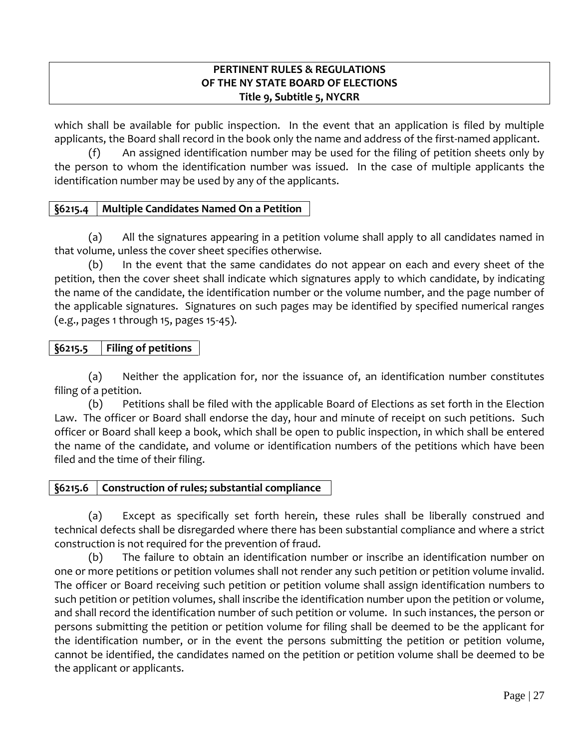which shall be available for public inspection. In the event that an application is filed by multiple applicants, the Board shall record in the book only the name and address of the first-named applicant.

(f) An assigned identification number may be used for the filing of petition sheets only by the person to whom the identification number was issued. In the case of multiple applicants the identification number may be used by any of the applicants.

# **§6215.4 Multiple Candidates Named On a Petition**

(a) All the signatures appearing in a petition volume shall apply to all candidates named in that volume, unless the cover sheet specifies otherwise.

(b) In the event that the same candidates do not appear on each and every sheet of the petition, then the cover sheet shall indicate which signatures apply to which candidate, by indicating the name of the candidate, the identification number or the volume number, and the page number of the applicable signatures. Signatures on such pages may be identified by specified numerical ranges (e.g., pages 1 through 15, pages 15-45).

# **§6215.5 Filing of petitions**

(a) Neither the application for, nor the issuance of, an identification number constitutes filing of a petition.

(b) Petitions shall be filed with the applicable Board of Elections as set forth in the Election Law. The officer or Board shall endorse the day, hour and minute of receipt on such petitions. Such officer or Board shall keep a book, which shall be open to public inspection, in which shall be entered the name of the candidate, and volume or identification numbers of the petitions which have been filed and the time of their filing.

# **§6215.6 Construction of rules; substantial compliance**

(a) Except as specifically set forth herein, these rules shall be liberally construed and technical defects shall be disregarded where there has been substantial compliance and where a strict construction is not required for the prevention of fraud.

(b) The failure to obtain an identification number or inscribe an identification number on one or more petitions or petition volumes shall not render any such petition or petition volume invalid. The officer or Board receiving such petition or petition volume shall assign identification numbers to such petition or petition volumes, shall inscribe the identification number upon the petition or volume, and shall record the identification number of such petition or volume. In such instances, the person or persons submitting the petition or petition volume for filing shall be deemed to be the applicant for the identification number, or in the event the persons submitting the petition or petition volume, cannot be identified, the candidates named on the petition or petition volume shall be deemed to be the applicant or applicants.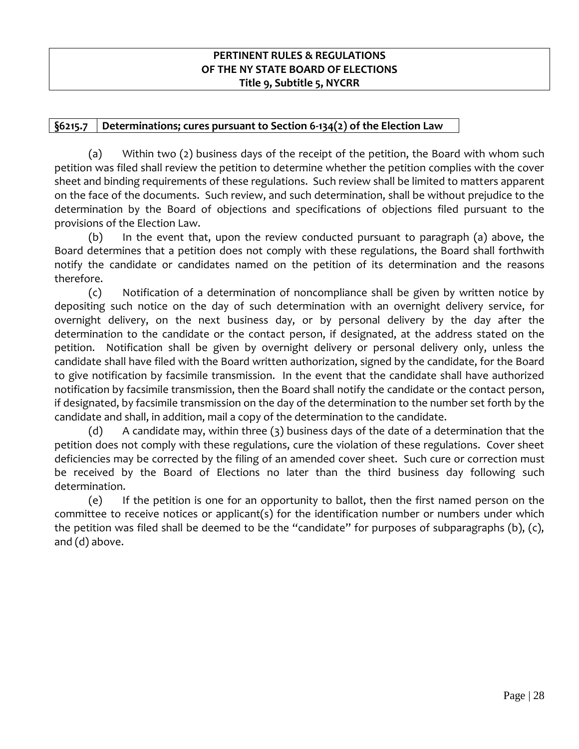# **§6215.7 Determinations; cures pursuant to Section 6-134(2) of the Election Law**

(a) Within two (2) business days of the receipt of the petition, the Board with whom such petition was filed shall review the petition to determine whether the petition complies with the cover sheet and binding requirements of these regulations. Such review shall be limited to matters apparent on the face of the documents. Such review, and such determination, shall be without prejudice to the determination by the Board of objections and specifications of objections filed pursuant to the provisions of the Election Law.

(b) In the event that, upon the review conducted pursuant to paragraph (a) above, the Board determines that a petition does not comply with these regulations, the Board shall forthwith notify the candidate or candidates named on the petition of its determination and the reasons therefore.

(c) Notification of a determination of noncompliance shall be given by written notice by depositing such notice on the day of such determination with an overnight delivery service, for overnight delivery, on the next business day, or by personal delivery by the day after the determination to the candidate or the contact person, if designated, at the address stated on the petition. Notification shall be given by overnight delivery or personal delivery only, unless the candidate shall have filed with the Board written authorization, signed by the candidate, for the Board to give notification by facsimile transmission. In the event that the candidate shall have authorized notification by facsimile transmission, then the Board shall notify the candidate or the contact person, if designated, by facsimile transmission on the day of the determination to the number set forth by the candidate and shall, in addition, mail a copy of the determination to the candidate.

(d) A candidate may, within three  $(3)$  business days of the date of a determination that the petition does not comply with these regulations, cure the violation of these regulations. Cover sheet deficiencies may be corrected by the filing of an amended cover sheet. Such cure or correction must be received by the Board of Elections no later than the third business day following such determination.

(e) If the petition is one for an opportunity to ballot, then the first named person on the committee to receive notices or applicant(s) for the identification number or numbers under which the petition was filed shall be deemed to be the "candidate" for purposes of subparagraphs (b), (c), and (d) above.